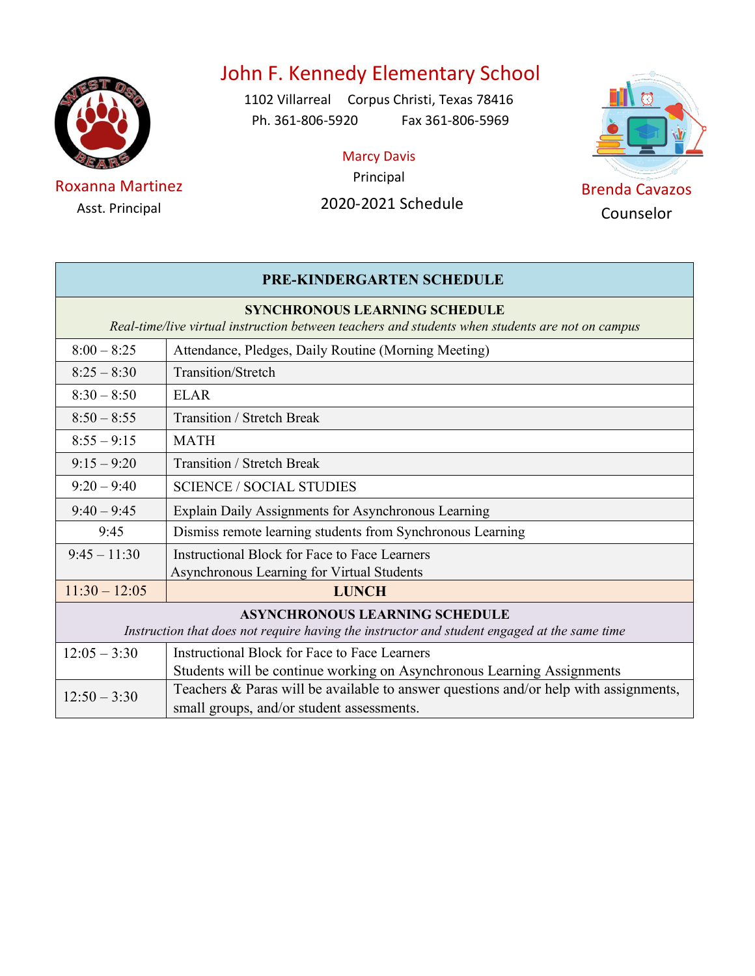

Asst. Principal

# John F. Kennedy Elementary School

1102 Villarreal Corpus Christi, Texas 78416 Ph. 361-806-5920 Fax 361-806-5969

Marcy Davis



| <b>PRE-KINDERGARTEN SCHEDULE</b>                                                                                                         |                                                                                              |  |
|------------------------------------------------------------------------------------------------------------------------------------------|----------------------------------------------------------------------------------------------|--|
| <b>SYNCHRONOUS LEARNING SCHEDULE</b><br>Real-time/live virtual instruction between teachers and students when students are not on campus |                                                                                              |  |
| $8:00 - 8:25$                                                                                                                            | Attendance, Pledges, Daily Routine (Morning Meeting)                                         |  |
| $8:25 - 8:30$                                                                                                                            | Transition/Stretch                                                                           |  |
| $8:30 - 8:50$                                                                                                                            | <b>ELAR</b>                                                                                  |  |
| $8:50 - 8:55$                                                                                                                            | Transition / Stretch Break                                                                   |  |
| $8:55 - 9:15$                                                                                                                            | <b>MATH</b>                                                                                  |  |
| $9:15 - 9:20$                                                                                                                            | Transition / Stretch Break                                                                   |  |
| $9:20 - 9:40$                                                                                                                            | <b>SCIENCE / SOCIAL STUDIES</b>                                                              |  |
| $9:40 - 9:45$                                                                                                                            | Explain Daily Assignments for Asynchronous Learning                                          |  |
| 9:45                                                                                                                                     | Dismiss remote learning students from Synchronous Learning                                   |  |
| $9:45 - 11:30$                                                                                                                           | Instructional Block for Face to Face Learners                                                |  |
|                                                                                                                                          | Asynchronous Learning for Virtual Students                                                   |  |
| $11:30 - 12:05$                                                                                                                          | <b>LUNCH</b>                                                                                 |  |
| <b>ASYNCHRONOUS LEARNING SCHEDULE</b>                                                                                                    |                                                                                              |  |
|                                                                                                                                          | Instruction that does not require having the instructor and student engaged at the same time |  |
| $12:05 - 3:30$                                                                                                                           | <b>Instructional Block for Face to Face Learners</b>                                         |  |
|                                                                                                                                          | Students will be continue working on Asynchronous Learning Assignments                       |  |
| $12:50 - 3:30$                                                                                                                           | Teachers & Paras will be available to answer questions and/or help with assignments,         |  |
|                                                                                                                                          | small groups, and/or student assessments.                                                    |  |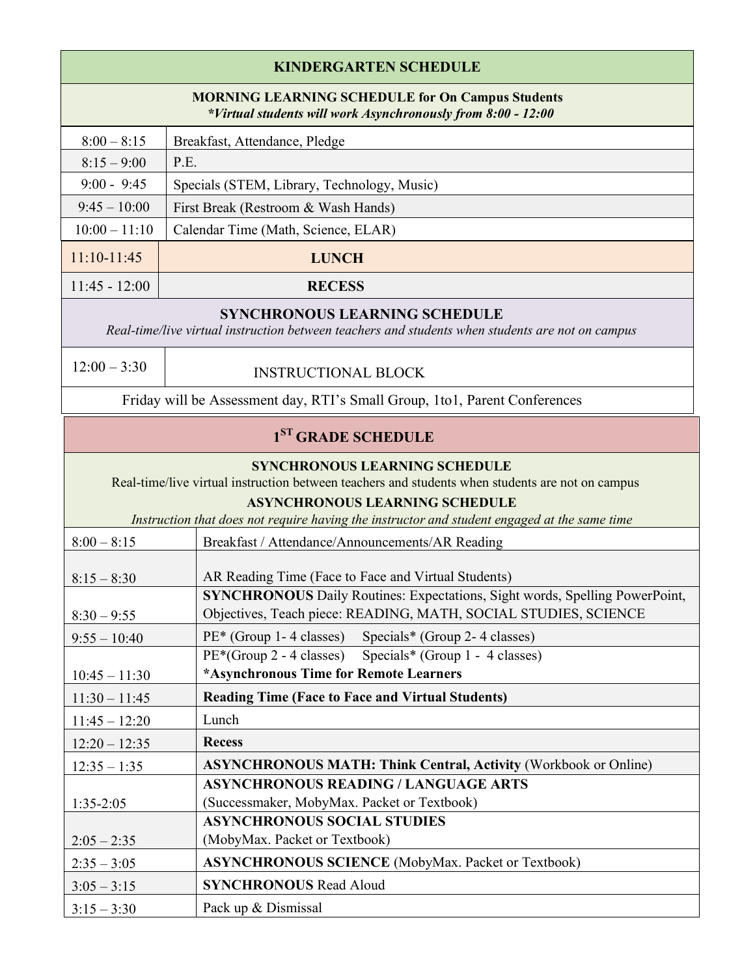| <b>KINDERGARTEN SCHEDULE</b>                                                                                            |                                             |  |
|-------------------------------------------------------------------------------------------------------------------------|---------------------------------------------|--|
| <b>MORNING LEARNING SCHEDULE for On Campus Students</b><br>*Virtual students will work Asynchronously from 8:00 - 12:00 |                                             |  |
| $8:00 - 8:15$                                                                                                           | Breakfast, Attendance, Pledge               |  |
| $8:15 - 9:00$                                                                                                           | P.E.                                        |  |
| $9:00 - 9:45$                                                                                                           | Specials (STEM, Library, Technology, Music) |  |
| $9:45 - 10:00$                                                                                                          | First Break (Restroom & Wash Hands)         |  |
| $10:00 - 11:10$                                                                                                         | Calendar Time (Math, Science, ELAR)         |  |
| $11:10-11:45$                                                                                                           | <b>LUNCH</b>                                |  |
| $11:45 - 12:00$                                                                                                         | <b>RECESS</b>                               |  |
| SVNCHDONOUS I EADNINC SCHEDIU E                                                                                         |                                             |  |

## **SYNCHRONOUS LEARNING SCHEDULE**

*Real-time/live virtual instruction between teachers and students when students are not on campus*

| $12:00-$ | $-3:30$ |  |
|----------|---------|--|
|----------|---------|--|

## INSTRUCTIONAL BLOCK

Friday will be Assessment day, RTI's Small Group, 1to1, Parent Conferences

| $1ST$ GRADE SCHEDULE |  |
|----------------------|--|
|----------------------|--|

## **SYNCHRONOUS LEARNING SCHEDULE**

Real-time/live virtual instruction between teachers and students when students are not on campus

#### **ASYNCHRONOUS LEARNING SCHEDULE**

*Instruction that does not require having the instructor and student engaged at the same time*

| $8:00 - 8:15$   | Breakfast / Attendance/Announcements/AR Reading                                    |
|-----------------|------------------------------------------------------------------------------------|
|                 |                                                                                    |
| $8:15 - 8:30$   | AR Reading Time (Face to Face and Virtual Students)                                |
|                 | <b>SYNCHRONOUS</b> Daily Routines: Expectations, Sight words, Spelling PowerPoint, |
| $8:30 - 9:55$   | Objectives, Teach piece: READING, MATH, SOCIAL STUDIES, SCIENCE                    |
| $9:55 - 10:40$  | PE* (Group 1-4 classes) Specials* (Group 2-4 classes)                              |
|                 | PE <sup>*</sup> (Group 2 - 4 classes) Specials <sup>*</sup> (Group 1 - 4 classes)  |
| $10:45 - 11:30$ | *Asynchronous Time for Remote Learners                                             |
| $11:30 - 11:45$ | <b>Reading Time (Face to Face and Virtual Students)</b>                            |
| $11:45 - 12:20$ | Lunch                                                                              |
| $12:20 - 12:35$ | <b>Recess</b>                                                                      |
| $12:35 - 1:35$  | <b>ASYNCHRONOUS MATH: Think Central, Activity (Workbook or Online)</b>             |
|                 | <b>ASYNCHRONOUS READING / LANGUAGE ARTS</b>                                        |
| $1:35-2:05$     | (Successmaker, MobyMax. Packet or Textbook)                                        |
|                 | <b>ASYNCHRONOUS SOCIAL STUDIES</b>                                                 |
| $2:05 - 2:35$   | (MobyMax. Packet or Textbook)                                                      |
| $2:35 - 3:05$   | <b>ASYNCHRONOUS SCIENCE</b> (MobyMax. Packet or Textbook)                          |
| $3:05 - 3:15$   | <b>SYNCHRONOUS Read Aloud</b>                                                      |
| $3:15 - 3:30$   | Pack up & Dismissal                                                                |